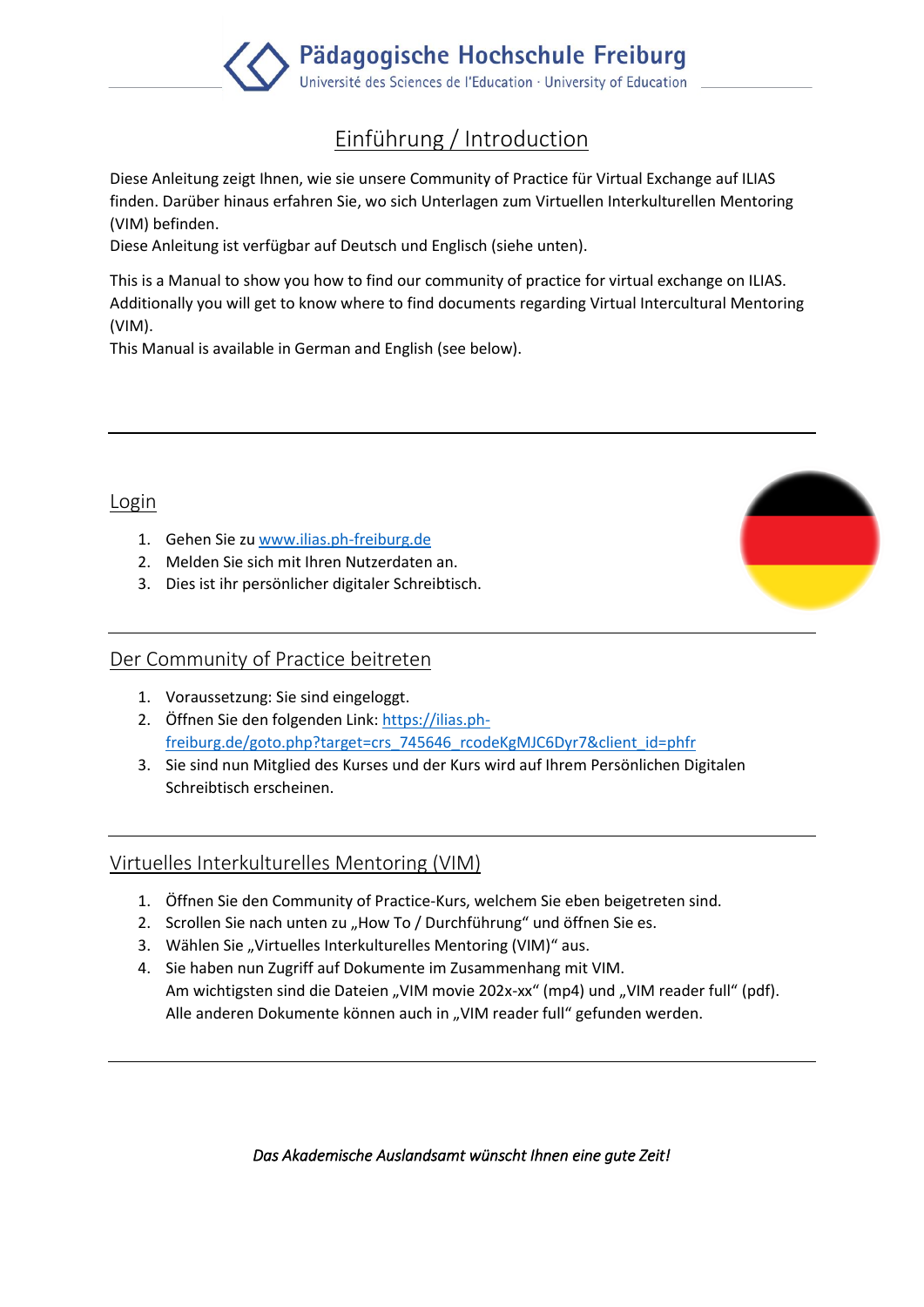

# Einführung / Introduction

Diese Anleitung zeigt Ihnen, wie sie unsere Community of Practice für Virtual Exchange auf ILIAS finden. Darüber hinaus erfahren Sie, wo sich Unterlagen zum Virtuellen Interkulturellen Mentoring (VIM) befinden.

Diese Anleitung ist verfügbar auf Deutsch und Englisch (siehe unten).

This is a Manual to show you how to find our community of practice for virtual exchange on ILIAS. Additionally you will get to know where to find documents regarding Virtual Intercultural Mentoring (VIM).

This Manual is available in German and English (see below).

#### Login

- 1. Gehen Sie zu [www.ilias.ph-freiburg.de](http://www.ilias.ph-freiburg.de/)
- 2. Melden Sie sich mit Ihren Nutzerdaten an.
- 3. Dies ist ihr persönlicher digitaler Schreibtisch.

### Der Community of Practice beitreten

- 1. Voraussetzung: Sie sind eingeloggt.
- 2. Öffnen Sie den folgenden Link: [https://ilias.ph](https://ilias.ph-freiburg.de/goto.php?target=crs_745646_rcodeKgMJC6Dyr7&client_id=phfr)[freiburg.de/goto.php?target=crs\\_745646\\_rcodeKgMJC6Dyr7&client\\_id=phfr](https://ilias.ph-freiburg.de/goto.php?target=crs_745646_rcodeKgMJC6Dyr7&client_id=phfr)
- 3. Sie sind nun Mitglied des Kurses und der Kurs wird auf Ihrem Persönlichen Digitalen Schreibtisch erscheinen.

# Virtuelles Interkulturelles Mentoring (VIM)

- 1. Öffnen Sie den Community of Practice-Kurs, welchem Sie eben beigetreten sind.
- 2. Scrollen Sie nach unten zu "How To / Durchführung" und öffnen Sie es.
- 3. Wählen Sie "Virtuelles Interkulturelles Mentoring (VIM)" aus.
- 4. Sie haben nun Zugriff auf Dokumente im Zusammenhang mit VIM. Am wichtigsten sind die Dateien "VIM movie 202x-xx" (mp4) und "VIM reader full" (pdf). Alle anderen Dokumente können auch in "VIM reader full" gefunden werden.

*Das Akademische Auslandsamt wünscht Ihnen eine gute Zeit!*